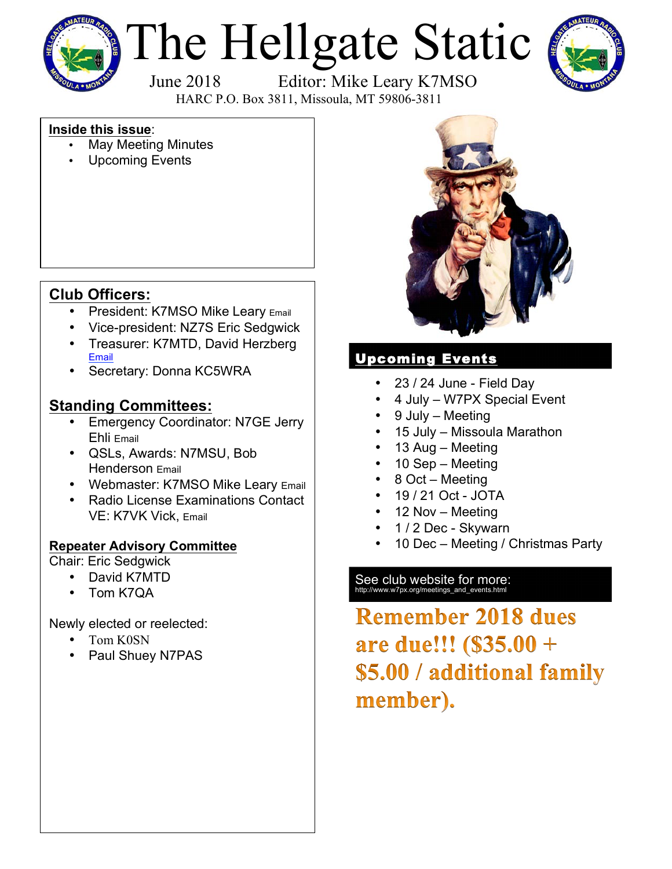

# The Hellgate Static



 June 2018 Editor: Mike Leary K7MSO HARC P.O. Box 3811, Missoula, MT 59806-3811

## **Inside this issue**:

- May Meeting Minutes
- Upcoming Events

# **Club Officers:**

- President: K7MSO Mike Leary Email
- Vice-president: NZ7S Eric Sedgwick
- Treasurer: K7MTD, David Herzberg Email
- Secretary: Donna KC5WRA

## **Standing Committees:**

- Emergency Coordinator: N7GE Jerry Ehli Email
- QSLs, Awards: N7MSU, Bob Henderson Email
- Webmaster: K7MSO Mike Leary Email
- Radio License Examinations Contact VE: K7VK Vick, Email

## **Repeater Advisory Committee**

Chair: Eric Sedgwick

- David K7MTD
- Tom K7QA

Newly elected or reelected:

- Tom K0SN
- Paul Shuey N7PAS



## Upcoming Events

- 23 / 24 June Field Day
- 4 July W7PX Special Event
- 9 July Meeting
- 15 July Missoula Marathon
- 13 Aug Meeting
- 10 Sep Meeting
- 8 Oct Meeting
- 19 / 21 Oct JOTA
- 12 Nov Meeting
- 1 / 2 Dec Skywarn
- 10 Dec Meeting / Christmas Party

# See club website for more:<br>http://www.w7px.org/meetings\_and\_events.html

**Remember 2018 dues** are due!!! (\$35.00 + \$5.00 / additional family member).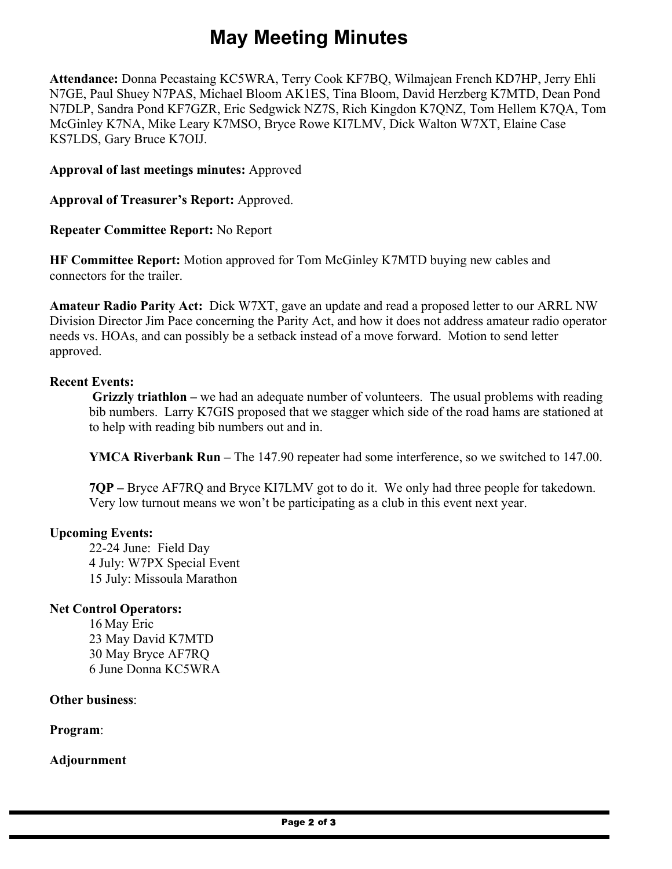# **May Meeting Minutes**

**Attendance:** Donna Pecastaing KC5WRA, Terry Cook KF7BQ, Wilmajean French KD7HP, Jerry Ehli N7GE, Paul Shuey N7PAS, Michael Bloom AK1ES, Tina Bloom, David Herzberg K7MTD, Dean Pond N7DLP, Sandra Pond KF7GZR, Eric Sedgwick NZ7S, Rich Kingdon K7QNZ, Tom Hellem K7QA, Tom McGinley K7NA, Mike Leary K7MSO, Bryce Rowe KI7LMV, Dick Walton W7XT, Elaine Case KS7LDS, Gary Bruce K7OIJ.

**Approval of last meetings minutes:** Approved

**Approval of Treasurer's Report:** Approved.

**Repeater Committee Report:** No Report

**HF Committee Report:** Motion approved for Tom McGinley K7MTD buying new cables and connectors for the trailer.

**Amateur Radio Parity Act:** Dick W7XT, gave an update and read a proposed letter to our ARRL NW Division Director Jim Pace concerning the Parity Act, and how it does not address amateur radio operator needs vs. HOAs, and can possibly be a setback instead of a move forward. Motion to send letter approved.

#### **Recent Events:**

**Grizzly triathlon –** we had an adequate number of volunteers. The usual problems with reading bib numbers. Larry K7GIS proposed that we stagger which side of the road hams are stationed at to help with reading bib numbers out and in.

**YMCA Riverbank Run –** The 147.90 repeater had some interference, so we switched to 147.00.

**7QP –** Bryce AF7RQ and Bryce KI7LMV got to do it. We only had three people for takedown. Very low turnout means we won't be participating as a club in this event next year.

#### **Upcoming Events:**

22-24 June: Field Day 4 July: W7PX Special Event 15 July: Missoula Marathon

### **Net Control Operators:**

16 May Eric 23 May David K7MTD 30 May Bryce AF7RQ 6 June Donna KC5WRA

**Other business**:

**Program**:

**Adjournment**